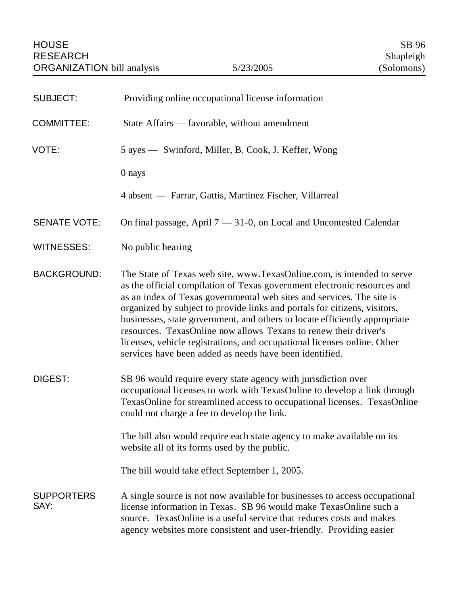| <b>SUBJECT:</b>           | Providing online occupational license information                                                                                                                                                                                                                                                                                                                                                                                                                                                                                                                                                 |
|---------------------------|---------------------------------------------------------------------------------------------------------------------------------------------------------------------------------------------------------------------------------------------------------------------------------------------------------------------------------------------------------------------------------------------------------------------------------------------------------------------------------------------------------------------------------------------------------------------------------------------------|
| <b>COMMITTEE:</b>         | State Affairs — favorable, without amendment                                                                                                                                                                                                                                                                                                                                                                                                                                                                                                                                                      |
| VOTE:                     | 5 ayes — Swinford, Miller, B. Cook, J. Keffer, Wong                                                                                                                                                                                                                                                                                                                                                                                                                                                                                                                                               |
|                           | 0 nays                                                                                                                                                                                                                                                                                                                                                                                                                                                                                                                                                                                            |
|                           | 4 absent — Farrar, Gattis, Martinez Fischer, Villarreal                                                                                                                                                                                                                                                                                                                                                                                                                                                                                                                                           |
| <b>SENATE VOTE:</b>       | On final passage, April $7 - 31-0$ , on Local and Uncontested Calendar                                                                                                                                                                                                                                                                                                                                                                                                                                                                                                                            |
| <b>WITNESSES:</b>         | No public hearing                                                                                                                                                                                                                                                                                                                                                                                                                                                                                                                                                                                 |
| <b>BACKGROUND:</b>        | The State of Texas web site, www.TexasOnline.com, is intended to serve<br>as the official compilation of Texas government electronic resources and<br>as an index of Texas governmental web sites and services. The site is<br>organized by subject to provide links and portals for citizens, visitors,<br>businesses, state government, and others to locate efficiently appropriate<br>resources. TexasOnline now allows Texans to renew their driver's<br>licenses, vehicle registrations, and occupational licenses online. Other<br>services have been added as needs have been identified. |
| DIGEST:                   | SB 96 would require every state agency with jurisdiction over<br>occupational licenses to work with TexasOnline to develop a link through<br>TexasOnline for streamlined access to occupational licenses. TexasOnline<br>could not charge a fee to develop the link.                                                                                                                                                                                                                                                                                                                              |
|                           | The bill also would require each state agency to make available on its<br>website all of its forms used by the public.                                                                                                                                                                                                                                                                                                                                                                                                                                                                            |
|                           | The bill would take effect September 1, 2005.                                                                                                                                                                                                                                                                                                                                                                                                                                                                                                                                                     |
| <b>SUPPORTERS</b><br>SAY: | A single source is not now available for businesses to access occupational<br>license information in Texas. SB 96 would make TexasOnline such a<br>source. TexasOnline is a useful service that reduces costs and makes<br>agency websites more consistent and user-friendly. Providing easier                                                                                                                                                                                                                                                                                                    |